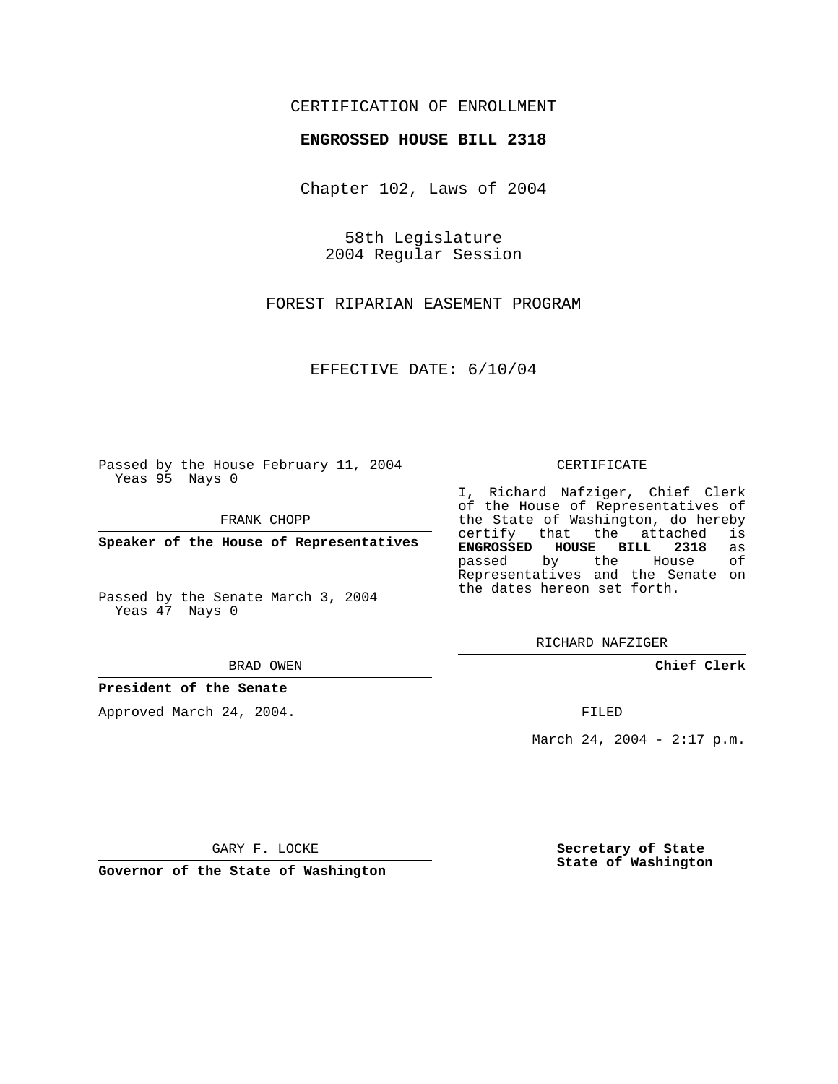## CERTIFICATION OF ENROLLMENT

#### **ENGROSSED HOUSE BILL 2318**

Chapter 102, Laws of 2004

58th Legislature 2004 Regular Session

FOREST RIPARIAN EASEMENT PROGRAM

EFFECTIVE DATE: 6/10/04

Passed by the House February 11, 2004 Yeas 95 Nays 0

FRANK CHOPP

**Speaker of the House of Representatives**

Passed by the Senate March 3, 2004 Yeas 47 Nays 0

#### BRAD OWEN

## **President of the Senate**

Approved March 24, 2004.

#### CERTIFICATE

I, Richard Nafziger, Chief Clerk of the House of Representatives of the State of Washington, do hereby<br>certify that the attached is certify that the attached **ENGROSSED HOUSE BILL 2318** as passed by the House Representatives and the Senate on the dates hereon set forth.

RICHARD NAFZIGER

**Chief Clerk**

FILED

March 24, 2004 - 2:17 p.m.

GARY F. LOCKE

**Governor of the State of Washington**

**Secretary of State State of Washington**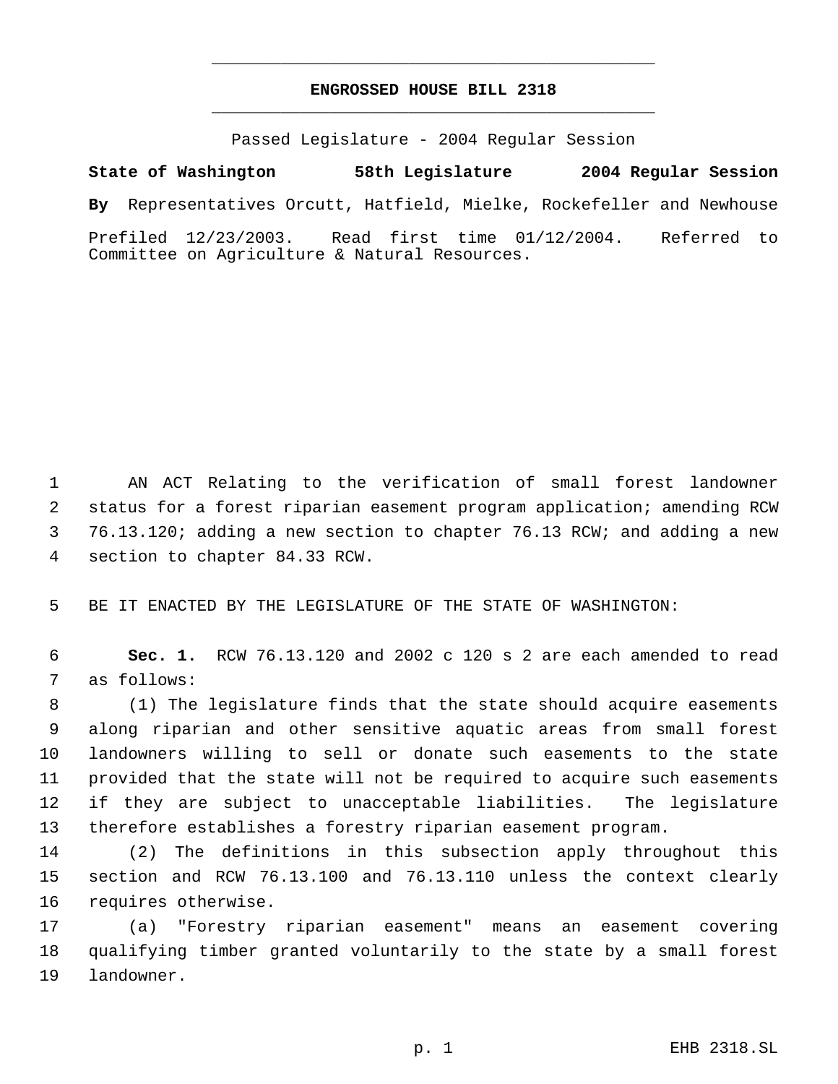# **ENGROSSED HOUSE BILL 2318** \_\_\_\_\_\_\_\_\_\_\_\_\_\_\_\_\_\_\_\_\_\_\_\_\_\_\_\_\_\_\_\_\_\_\_\_\_\_\_\_\_\_\_\_\_

\_\_\_\_\_\_\_\_\_\_\_\_\_\_\_\_\_\_\_\_\_\_\_\_\_\_\_\_\_\_\_\_\_\_\_\_\_\_\_\_\_\_\_\_\_

Passed Legislature - 2004 Regular Session

**State of Washington 58th Legislature 2004 Regular Session By** Representatives Orcutt, Hatfield, Mielke, Rockefeller and Newhouse Prefiled 12/23/2003. Read first time 01/12/2004. Referred to Committee on Agriculture & Natural Resources.

 AN ACT Relating to the verification of small forest landowner status for a forest riparian easement program application; amending RCW 76.13.120; adding a new section to chapter 76.13 RCW; and adding a new section to chapter 84.33 RCW.

BE IT ENACTED BY THE LEGISLATURE OF THE STATE OF WASHINGTON:

 **Sec. 1.** RCW 76.13.120 and 2002 c 120 s 2 are each amended to read as follows:

 (1) The legislature finds that the state should acquire easements along riparian and other sensitive aquatic areas from small forest landowners willing to sell or donate such easements to the state provided that the state will not be required to acquire such easements if they are subject to unacceptable liabilities. The legislature therefore establishes a forestry riparian easement program.

 (2) The definitions in this subsection apply throughout this section and RCW 76.13.100 and 76.13.110 unless the context clearly requires otherwise.

 (a) "Forestry riparian easement" means an easement covering qualifying timber granted voluntarily to the state by a small forest landowner.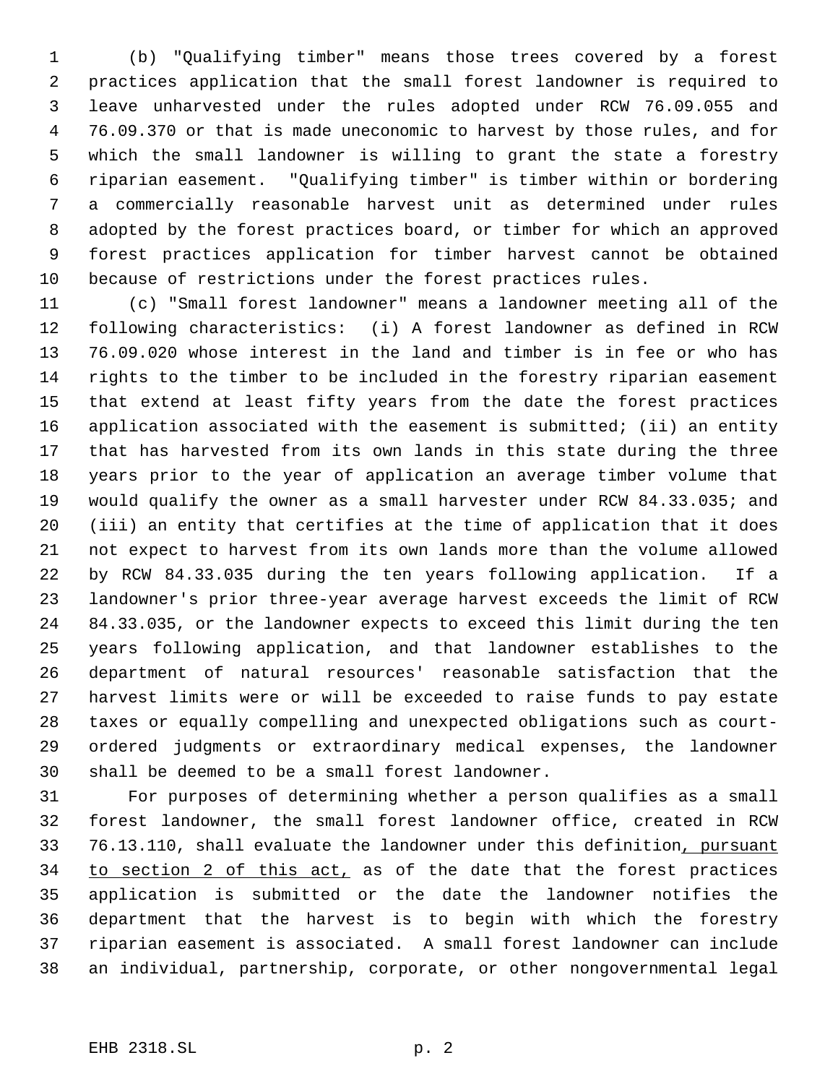(b) "Qualifying timber" means those trees covered by a forest practices application that the small forest landowner is required to leave unharvested under the rules adopted under RCW 76.09.055 and 76.09.370 or that is made uneconomic to harvest by those rules, and for which the small landowner is willing to grant the state a forestry riparian easement. "Qualifying timber" is timber within or bordering a commercially reasonable harvest unit as determined under rules adopted by the forest practices board, or timber for which an approved forest practices application for timber harvest cannot be obtained because of restrictions under the forest practices rules.

 (c) "Small forest landowner" means a landowner meeting all of the following characteristics: (i) A forest landowner as defined in RCW 76.09.020 whose interest in the land and timber is in fee or who has rights to the timber to be included in the forestry riparian easement that extend at least fifty years from the date the forest practices application associated with the easement is submitted; (ii) an entity that has harvested from its own lands in this state during the three years prior to the year of application an average timber volume that would qualify the owner as a small harvester under RCW 84.33.035; and (iii) an entity that certifies at the time of application that it does not expect to harvest from its own lands more than the volume allowed by RCW 84.33.035 during the ten years following application. If a landowner's prior three-year average harvest exceeds the limit of RCW 84.33.035, or the landowner expects to exceed this limit during the ten years following application, and that landowner establishes to the department of natural resources' reasonable satisfaction that the harvest limits were or will be exceeded to raise funds to pay estate taxes or equally compelling and unexpected obligations such as court- ordered judgments or extraordinary medical expenses, the landowner shall be deemed to be a small forest landowner.

 For purposes of determining whether a person qualifies as a small forest landowner, the small forest landowner office, created in RCW 76.13.110, shall evaluate the landowner under this definition, pursuant 34 to section 2 of this act, as of the date that the forest practices application is submitted or the date the landowner notifies the department that the harvest is to begin with which the forestry riparian easement is associated. A small forest landowner can include an individual, partnership, corporate, or other nongovernmental legal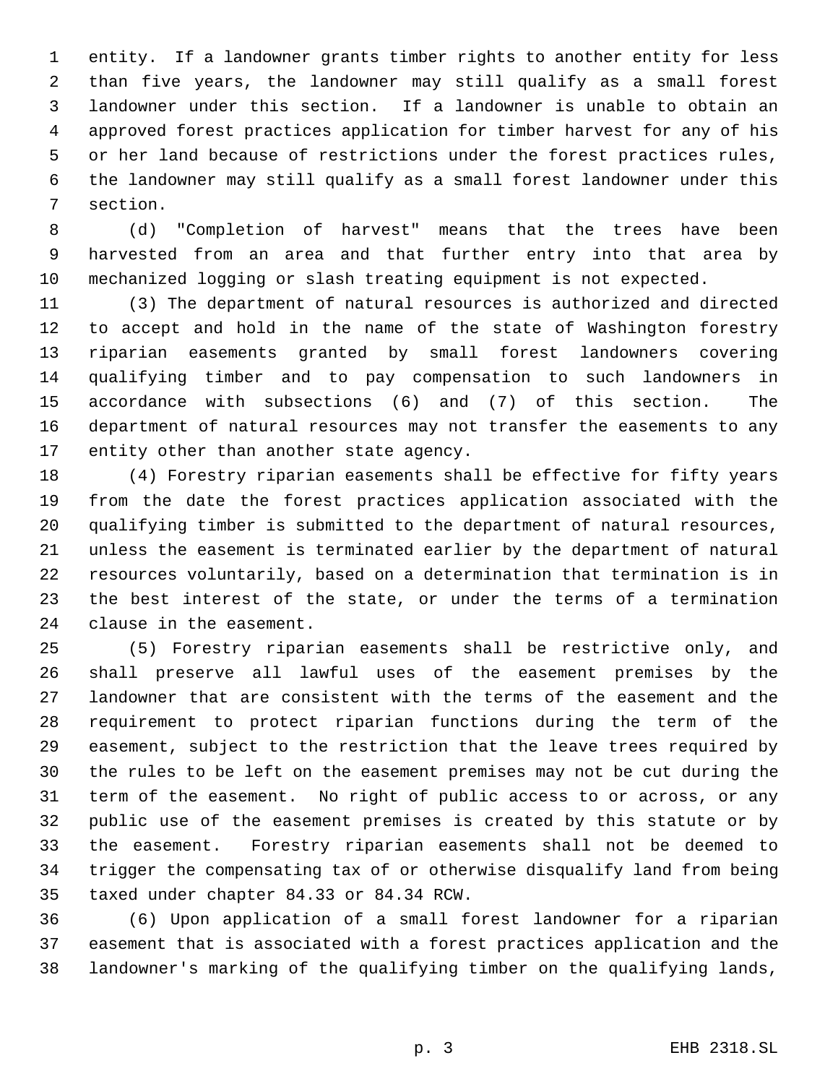entity. If a landowner grants timber rights to another entity for less than five years, the landowner may still qualify as a small forest landowner under this section. If a landowner is unable to obtain an approved forest practices application for timber harvest for any of his or her land because of restrictions under the forest practices rules, the landowner may still qualify as a small forest landowner under this section.

 (d) "Completion of harvest" means that the trees have been harvested from an area and that further entry into that area by mechanized logging or slash treating equipment is not expected.

 (3) The department of natural resources is authorized and directed to accept and hold in the name of the state of Washington forestry riparian easements granted by small forest landowners covering qualifying timber and to pay compensation to such landowners in accordance with subsections (6) and (7) of this section. The department of natural resources may not transfer the easements to any entity other than another state agency.

 (4) Forestry riparian easements shall be effective for fifty years from the date the forest practices application associated with the qualifying timber is submitted to the department of natural resources, unless the easement is terminated earlier by the department of natural resources voluntarily, based on a determination that termination is in the best interest of the state, or under the terms of a termination clause in the easement.

 (5) Forestry riparian easements shall be restrictive only, and shall preserve all lawful uses of the easement premises by the landowner that are consistent with the terms of the easement and the requirement to protect riparian functions during the term of the easement, subject to the restriction that the leave trees required by the rules to be left on the easement premises may not be cut during the term of the easement. No right of public access to or across, or any public use of the easement premises is created by this statute or by the easement. Forestry riparian easements shall not be deemed to trigger the compensating tax of or otherwise disqualify land from being taxed under chapter 84.33 or 84.34 RCW.

 (6) Upon application of a small forest landowner for a riparian easement that is associated with a forest practices application and the landowner's marking of the qualifying timber on the qualifying lands,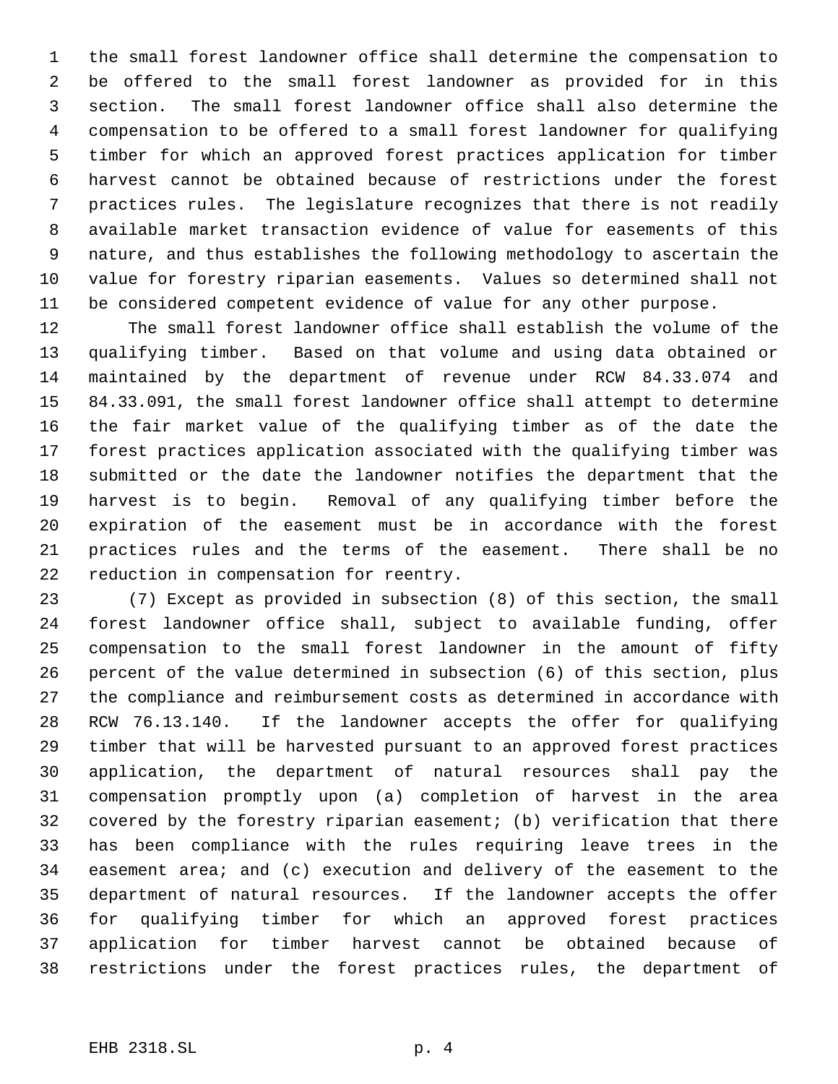the small forest landowner office shall determine the compensation to be offered to the small forest landowner as provided for in this section. The small forest landowner office shall also determine the compensation to be offered to a small forest landowner for qualifying timber for which an approved forest practices application for timber harvest cannot be obtained because of restrictions under the forest practices rules. The legislature recognizes that there is not readily available market transaction evidence of value for easements of this nature, and thus establishes the following methodology to ascertain the value for forestry riparian easements. Values so determined shall not be considered competent evidence of value for any other purpose.

 The small forest landowner office shall establish the volume of the qualifying timber. Based on that volume and using data obtained or maintained by the department of revenue under RCW 84.33.074 and 84.33.091, the small forest landowner office shall attempt to determine the fair market value of the qualifying timber as of the date the forest practices application associated with the qualifying timber was submitted or the date the landowner notifies the department that the harvest is to begin. Removal of any qualifying timber before the expiration of the easement must be in accordance with the forest practices rules and the terms of the easement. There shall be no reduction in compensation for reentry.

 (7) Except as provided in subsection (8) of this section, the small forest landowner office shall, subject to available funding, offer compensation to the small forest landowner in the amount of fifty percent of the value determined in subsection (6) of this section, plus the compliance and reimbursement costs as determined in accordance with RCW 76.13.140. If the landowner accepts the offer for qualifying timber that will be harvested pursuant to an approved forest practices application, the department of natural resources shall pay the compensation promptly upon (a) completion of harvest in the area covered by the forestry riparian easement; (b) verification that there has been compliance with the rules requiring leave trees in the easement area; and (c) execution and delivery of the easement to the department of natural resources. If the landowner accepts the offer for qualifying timber for which an approved forest practices application for timber harvest cannot be obtained because of restrictions under the forest practices rules, the department of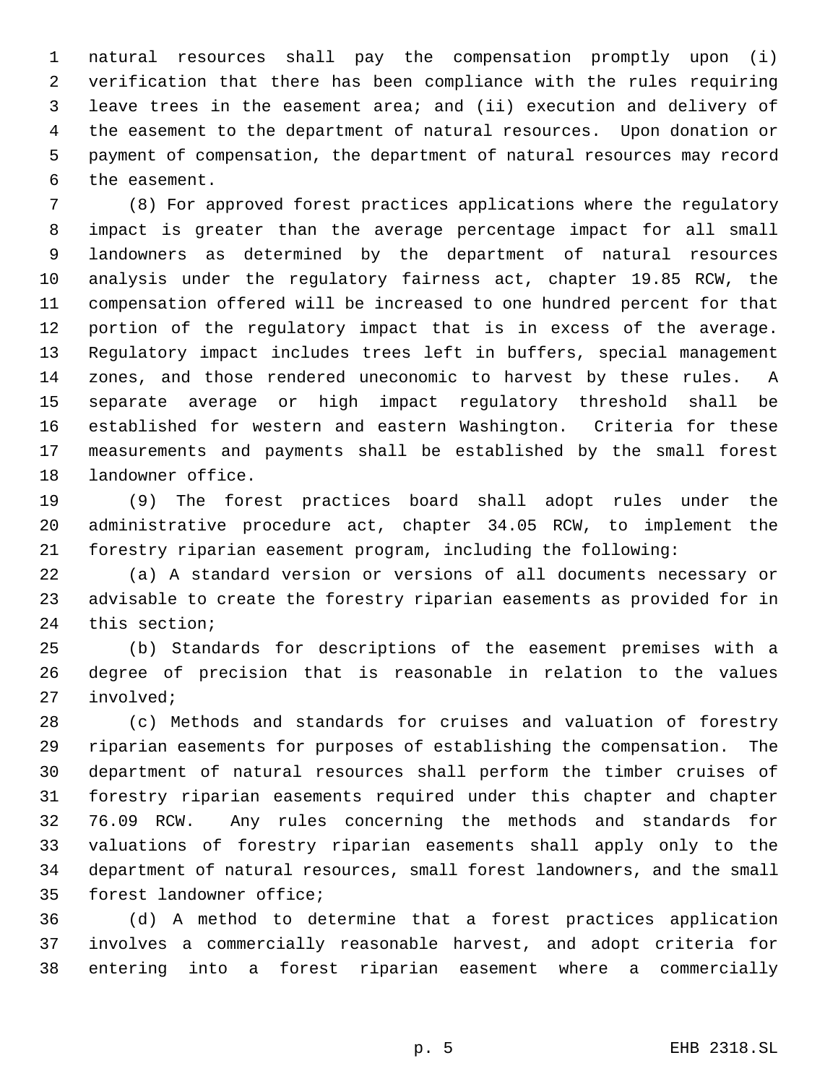natural resources shall pay the compensation promptly upon (i) verification that there has been compliance with the rules requiring leave trees in the easement area; and (ii) execution and delivery of the easement to the department of natural resources. Upon donation or payment of compensation, the department of natural resources may record the easement.

 (8) For approved forest practices applications where the regulatory impact is greater than the average percentage impact for all small landowners as determined by the department of natural resources analysis under the regulatory fairness act, chapter 19.85 RCW, the compensation offered will be increased to one hundred percent for that portion of the regulatory impact that is in excess of the average. Regulatory impact includes trees left in buffers, special management zones, and those rendered uneconomic to harvest by these rules. A separate average or high impact regulatory threshold shall be established for western and eastern Washington. Criteria for these measurements and payments shall be established by the small forest landowner office.

 (9) The forest practices board shall adopt rules under the administrative procedure act, chapter 34.05 RCW, to implement the forestry riparian easement program, including the following:

 (a) A standard version or versions of all documents necessary or advisable to create the forestry riparian easements as provided for in this section;

 (b) Standards for descriptions of the easement premises with a degree of precision that is reasonable in relation to the values involved;

 (c) Methods and standards for cruises and valuation of forestry riparian easements for purposes of establishing the compensation. The department of natural resources shall perform the timber cruises of forestry riparian easements required under this chapter and chapter 76.09 RCW. Any rules concerning the methods and standards for valuations of forestry riparian easements shall apply only to the department of natural resources, small forest landowners, and the small forest landowner office;

 (d) A method to determine that a forest practices application involves a commercially reasonable harvest, and adopt criteria for entering into a forest riparian easement where a commercially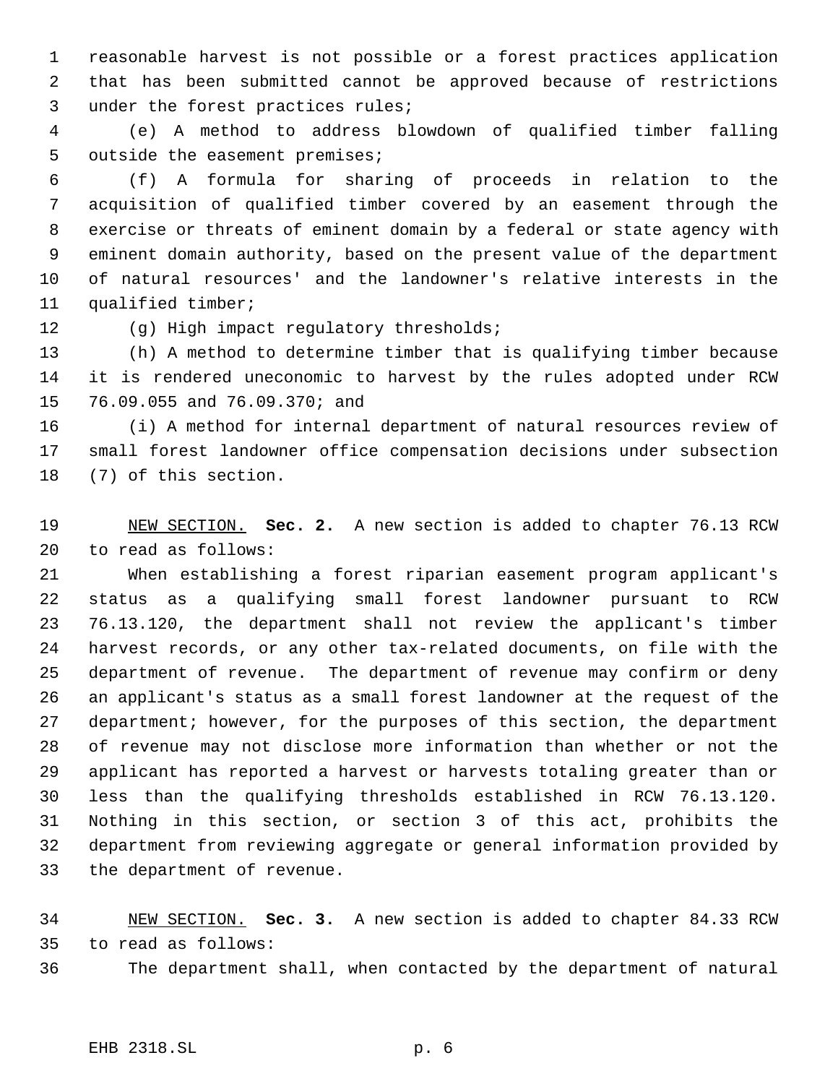reasonable harvest is not possible or a forest practices application that has been submitted cannot be approved because of restrictions under the forest practices rules;

 (e) A method to address blowdown of qualified timber falling outside the easement premises;

 (f) A formula for sharing of proceeds in relation to the acquisition of qualified timber covered by an easement through the exercise or threats of eminent domain by a federal or state agency with eminent domain authority, based on the present value of the department of natural resources' and the landowner's relative interests in the qualified timber;

(g) High impact regulatory thresholds;

 (h) A method to determine timber that is qualifying timber because it is rendered uneconomic to harvest by the rules adopted under RCW 76.09.055 and 76.09.370; and

 (i) A method for internal department of natural resources review of small forest landowner office compensation decisions under subsection (7) of this section.

 NEW SECTION. **Sec. 2.** A new section is added to chapter 76.13 RCW to read as follows:

 When establishing a forest riparian easement program applicant's status as a qualifying small forest landowner pursuant to RCW 76.13.120, the department shall not review the applicant's timber harvest records, or any other tax-related documents, on file with the department of revenue. The department of revenue may confirm or deny an applicant's status as a small forest landowner at the request of the department; however, for the purposes of this section, the department of revenue may not disclose more information than whether or not the applicant has reported a harvest or harvests totaling greater than or less than the qualifying thresholds established in RCW 76.13.120. Nothing in this section, or section 3 of this act, prohibits the department from reviewing aggregate or general information provided by the department of revenue.

 NEW SECTION. **Sec. 3.** A new section is added to chapter 84.33 RCW to read as follows: The department shall, when contacted by the department of natural

## EHB 2318.SL p. 6